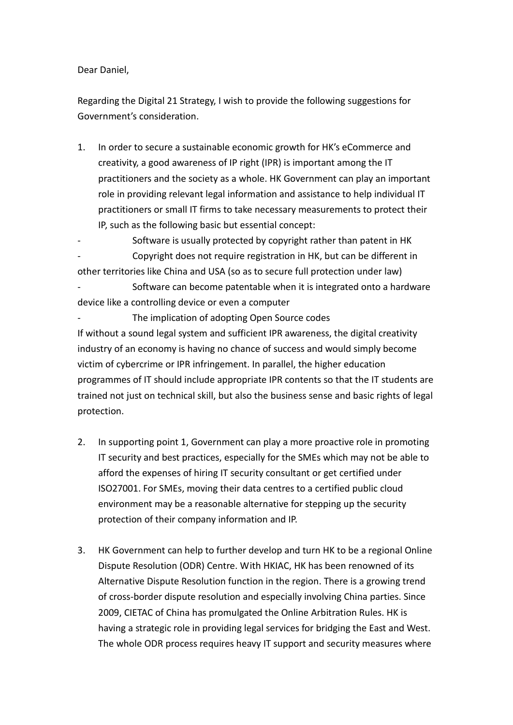Dear Daniel,

Regarding the Digital 21 Strategy, I wish to provide the following suggestions for Government's consideration.

- 1. In order to secure a sustainable economic growth for HK's eCommerce and creativity, a good awareness of IP right (IPR) is important among the IT practitioners and the society as a whole. HK Government can play an important role in providing relevant legal information and assistance to help individual IT practitioners or small IT firms to take necessary measurements to protect their IP, such as the following basic but essential concept:
- Software is usually protected by copyright rather than patent in HK - Copyright does not require registration in HK, but can be different in other territories like China and USA (so as to secure full protection under law)

Software can become patentable when it is integrated onto a hardware device like a controlling device or even a computer

The implication of adopting Open Source codes If without a sound legal system and sufficient IPR awareness, the digital creativity industry of an economy is having no chance of success and would simply become victim of cybercrime or IPR infringement. In parallel, the higher education programmes of IT should include appropriate IPR contents so that the IT students are trained not just on technical skill, but also the business sense and basic rights of legal protection.

- 2. In supporting point 1, Government can play a more proactive role in promoting IT security and best practices, especially for the SMEs which may not be able to afford the expenses of hiring IT security consultant or get certified under ISO27001. For SMEs, moving their data centres to a certified public cloud environment may be a reasonable alternative for stepping up the security protection of their company information and IP.
- 3. HK Government can help to further develop and turn HK to be a regional Online Dispute Resolution (ODR) Centre. With HKIAC, HK has been renowned of its Alternative Dispute Resolution function in the region. There is a growing trend of cross-border dispute resolution and especially involving China parties. Since 2009, CIETAC of China has promulgated the Online Arbitration Rules. HK is having a strategic role in providing legal services for bridging the East and West. The whole ODR process requires heavy IT support and security measures where